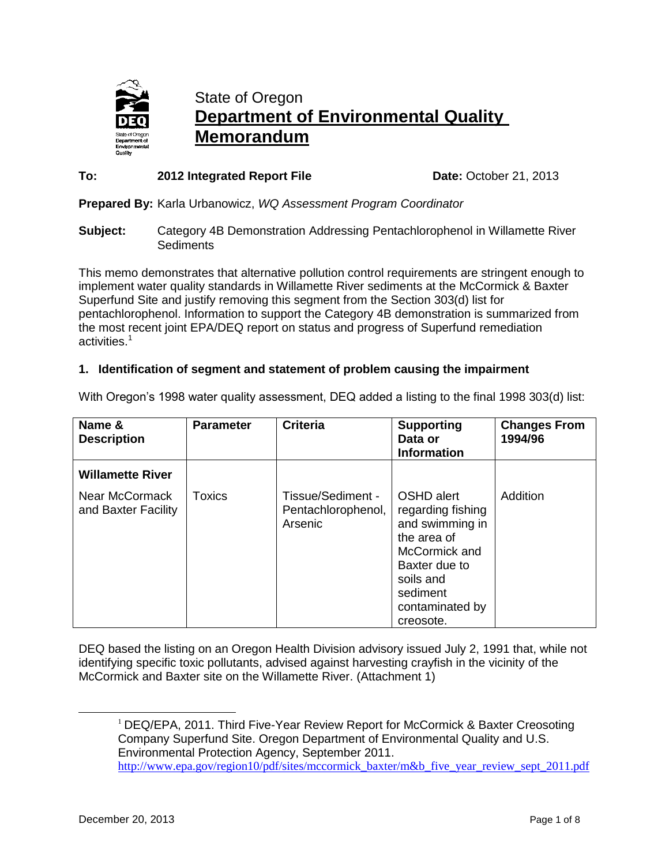

# State of Oregon **Department of Environmental Quality Memorandum**

### **To:** 2012 Integrated Report File **Date:** October 21, 2013

**Prepared By:** Karla Urbanowicz, *WQ Assessment Program Coordinator*

**Subject:** Category 4B Demonstration Addressing Pentachlorophenol in Willamette River **Sediments** 

This memo demonstrates that alternative pollution control requirements are stringent enough to implement water quality standards in Willamette River sediments at the McCormick & Baxter Superfund Site and justify removing this segment from the Section 303(d) list for pentachlorophenol. Information to support the Category 4B demonstration is summarized from the most recent joint EPA/DEQ report on status and progress of Superfund remediation activities.<sup>1</sup>

## **1. Identification of segment and statement of problem causing the impairment**

| Name &<br><b>Description</b>          | <b>Parameter</b> | <b>Criteria</b>                                    | <b>Supporting</b><br>Data or<br><b>Information</b>                                                                                                           | <b>Changes From</b><br>1994/96 |
|---------------------------------------|------------------|----------------------------------------------------|--------------------------------------------------------------------------------------------------------------------------------------------------------------|--------------------------------|
| <b>Willamette River</b>               |                  |                                                    |                                                                                                                                                              |                                |
| Near McCormack<br>and Baxter Facility | Toxics           | Tissue/Sediment -<br>Pentachlorophenol,<br>Arsenic | OSHD alert<br>regarding fishing<br>and swimming in<br>the area of<br>McCormick and<br>Baxter due to<br>soils and<br>sediment<br>contaminated by<br>creosote. | Addition                       |

With Oregon's 1998 water quality assessment, DEQ added a listing to the final 1998 303(d) list:

DEQ based the listing on an Oregon Health Division advisory issued July 2, 1991 that, while not identifying specific toxic pollutants, advised against harvesting crayfish in the vicinity of the McCormick and Baxter site on the Willamette River. (Attachment 1)

 $\overline{\phantom{a}}$ 

<sup>&</sup>lt;sup>1</sup> DEQ/EPA, 2011. Third Five-Year Review Report for McCormick & Baxter Creosoting Company Superfund Site. Oregon Department of Environmental Quality and U.S. Environmental Protection Agency, September 2011. [http://www.epa.gov/region10/pdf/sites/mccormick\\_baxter/m&b\\_five\\_year\\_review\\_sept\\_2011.pdf](http://www.epa.gov/region10/pdf/sites/mccormick_baxter/m&b_five_year_review_sept_2011.pdf)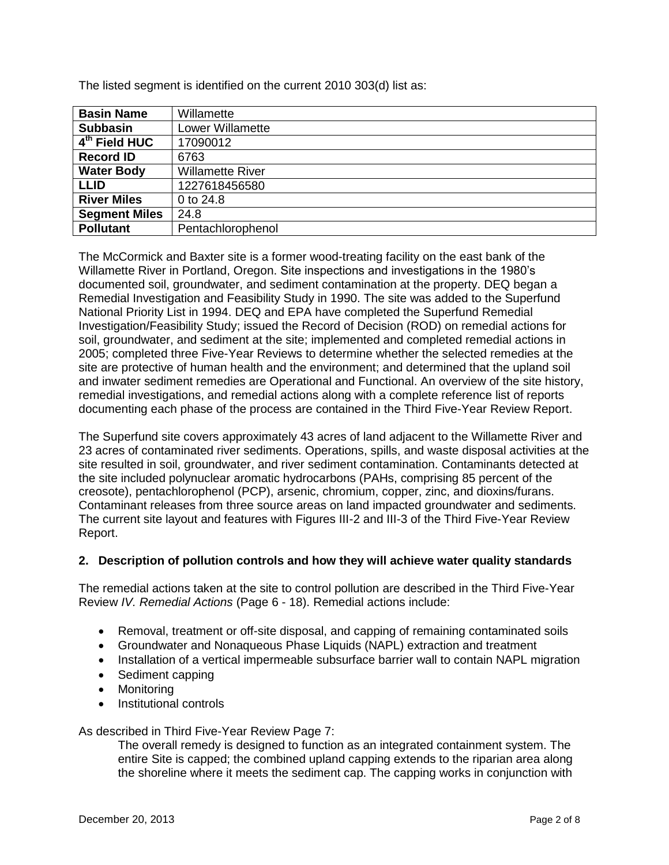| <b>Basin Name</b>         | Willamette              |
|---------------------------|-------------------------|
| <b>Subbasin</b>           | <b>Lower Willamette</b> |
| 4 <sup>th</sup> Field HUC | 17090012                |
| <b>Record ID</b>          | 6763                    |
| <b>Water Body</b>         | <b>Willamette River</b> |
| <b>LLID</b>               | 1227618456580           |
| <b>River Miles</b>        | 0 to 24.8               |
| <b>Segment Miles</b>      | 24.8                    |
| <b>Pollutant</b>          | Pentachlorophenol       |
|                           |                         |

The listed segment is identified on the current 2010 303(d) list as:

The McCormick and Baxter site is a former wood-treating facility on the east bank of the Willamette River in Portland, Oregon. Site inspections and investigations in the 1980's documented soil, groundwater, and sediment contamination at the property. DEQ began a Remedial Investigation and Feasibility Study in 1990. The site was added to the Superfund National Priority List in 1994. DEQ and EPA have completed the Superfund Remedial Investigation/Feasibility Study; issued the Record of Decision (ROD) on remedial actions for soil, groundwater, and sediment at the site; implemented and completed remedial actions in 2005; completed three Five-Year Reviews to determine whether the selected remedies at the site are protective of human health and the environment; and determined that the upland soil and inwater sediment remedies are Operational and Functional. An overview of the site history, remedial investigations, and remedial actions along with a complete reference list of reports documenting each phase of the process are contained in the Third Five-Year Review Report.

The Superfund site covers approximately 43 acres of land adjacent to the Willamette River and 23 acres of contaminated river sediments. Operations, spills, and waste disposal activities at the site resulted in soil, groundwater, and river sediment contamination. Contaminants detected at the site included polynuclear aromatic hydrocarbons (PAHs, comprising 85 percent of the creosote), pentachlorophenol (PCP), arsenic, chromium, copper, zinc, and dioxins/furans. Contaminant releases from three source areas on land impacted groundwater and sediments. The current site layout and features with Figures III-2 and III-3 of the Third Five-Year Review Report.

#### **2. Description of pollution controls and how they will achieve water quality standards**

The remedial actions taken at the site to control pollution are described in the Third Five-Year Review *IV. Remedial Actions* (Page 6 - 18). Remedial actions include:

- Removal, treatment or off-site disposal, and capping of remaining contaminated soils
- Groundwater and Nonaqueous Phase Liquids (NAPL) extraction and treatment
- Installation of a vertical impermeable subsurface barrier wall to contain NAPL migration
- Sediment capping
- Monitoring
- Institutional controls

#### As described in Third Five-Year Review Page 7:

The overall remedy is designed to function as an integrated containment system. The entire Site is capped; the combined upland capping extends to the riparian area along the shoreline where it meets the sediment cap. The capping works in conjunction with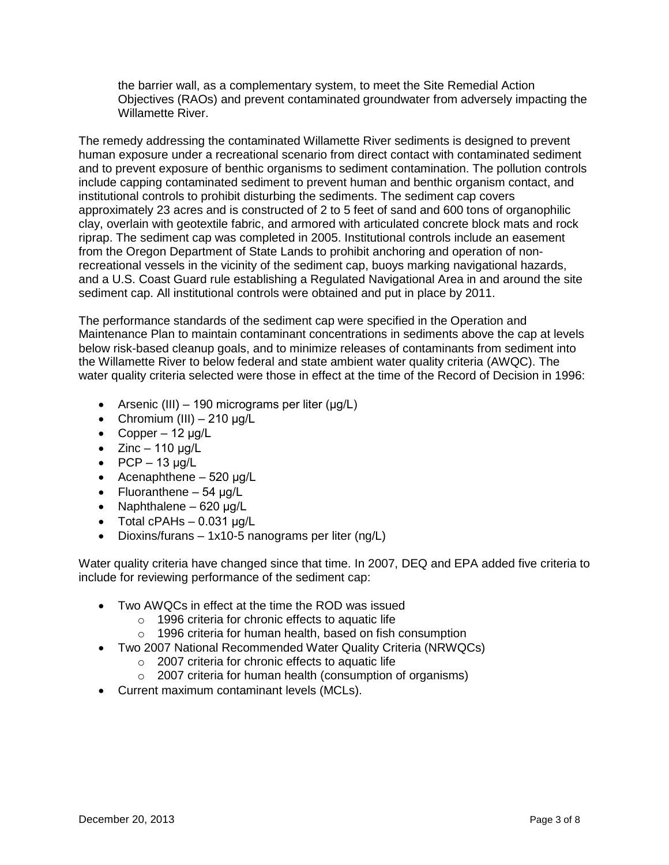the barrier wall, as a complementary system, to meet the Site Remedial Action Objectives (RAOs) and prevent contaminated groundwater from adversely impacting the Willamette River.

The remedy addressing the contaminated Willamette River sediments is designed to prevent human exposure under a recreational scenario from direct contact with contaminated sediment and to prevent exposure of benthic organisms to sediment contamination. The pollution controls include capping contaminated sediment to prevent human and benthic organism contact, and institutional controls to prohibit disturbing the sediments. The sediment cap covers approximately 23 acres and is constructed of 2 to 5 feet of sand and 600 tons of organophilic clay, overlain with geotextile fabric, and armored with articulated concrete block mats and rock riprap. The sediment cap was completed in 2005. Institutional controls include an easement from the Oregon Department of State Lands to prohibit anchoring and operation of nonrecreational vessels in the vicinity of the sediment cap, buoys marking navigational hazards, and a U.S. Coast Guard rule establishing a Regulated Navigational Area in and around the site sediment cap. All institutional controls were obtained and put in place by 2011.

The performance standards of the sediment cap were specified in the Operation and Maintenance Plan to maintain contaminant concentrations in sediments above the cap at levels below risk-based cleanup goals, and to minimize releases of contaminants from sediment into the Willamette River to below federal and state ambient water quality criteria (AWQC). The water quality criteria selected were those in effect at the time of the Record of Decision in 1996:

- Arsenic (III) 190 micrograms per liter ( $\mu q/L$ )
- Chromium (III)  $-210 \mu g/L$
- Copper  $12 \mu g/L$
- $\bullet$  Zinc 110 µg/L
- $\bullet$  PCP 13 µg/L
- Acenaphthene  $-520 \mu g/L$
- Fluoranthene  $-54 \mu g/L$
- Naphthalene  $620 \mu q/L$
- $\bullet$  Total cPAHs 0.031 µg/L
- Dioxins/furans 1x10-5 nanograms per liter (ng/L)

Water quality criteria have changed since that time. In 2007, DEQ and EPA added five criteria to include for reviewing performance of the sediment cap:

- Two AWQCs in effect at the time the ROD was issued
	- o 1996 criteria for chronic effects to aquatic life
	- o 1996 criteria for human health, based on fish consumption
- Two 2007 National Recommended Water Quality Criteria (NRWQCs)
	- o 2007 criteria for chronic effects to aquatic life
	- o 2007 criteria for human health (consumption of organisms)
- Current maximum contaminant levels (MCLs).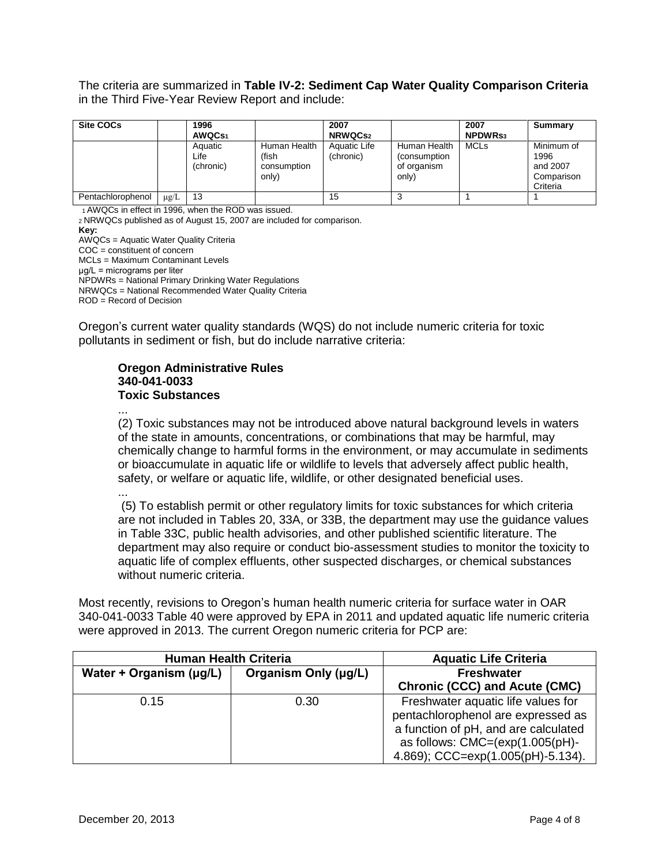The criteria are summarized in **Table IV-2: Sediment Cap Water Quality Comparison Criteria** in the Third Five-Year Review Report and include:

| <b>Site COCs</b>  |           | 1996<br>AWQC <sub>S1</sub>   |                                               | 2007<br><b>NRWQCS2</b>    |                                                       | 2007<br><b>NPDWRS3</b> | Summary                                                  |
|-------------------|-----------|------------------------------|-----------------------------------------------|---------------------------|-------------------------------------------------------|------------------------|----------------------------------------------------------|
|                   |           | Aquatic<br>Life<br>(chronic) | Human Health<br>(fish<br>consumption<br>only) | Aquatic Life<br>(chronic) | Human Health<br>(consumption)<br>of organism<br>only) | <b>MCLs</b>            | Minimum of<br>1996<br>and 2007<br>Comparison<br>Criteria |
| Pentachlorophenol | $\mu$ g/L | 13                           |                                               | 15                        |                                                       |                        |                                                          |

<sup>1</sup>AWQCs in effect in 1996, when the ROD was issued. <sup>2</sup>NRWQCs published as of August 15, 2007 are included for comparison. **Key:** AWQCs = Aquatic Water Quality Criteria COC = constituent of concern MCLs = Maximum Contaminant Levels μg/L = micrograms per liter NPDWRs = National Primary Drinking Water Regulations NRWQCs = National Recommended Water Quality Criteria ROD = Record of Decision

Oregon's current water quality standards (WQS) do not include numeric criteria for toxic pollutants in sediment or fish, but do include narrative criteria:

#### **Oregon Administrative Rules 340-041-0033 Toxic Substances**

...

(2) Toxic substances may not be introduced above natural background levels in waters of the state in amounts, concentrations, or combinations that may be harmful, may chemically change to harmful forms in the environment, or may accumulate in sediments or bioaccumulate in aquatic life or wildlife to levels that adversely affect public health, safety, or welfare or aquatic life, wildlife, or other designated beneficial uses.

...

(5) To establish permit or other regulatory limits for toxic substances for which criteria are not included in Tables 20, 33A, or 33B, the department may use the guidance values in Table 33C, public health advisories, and other published scientific literature. The department may also require or conduct bio-assessment studies to monitor the toxicity to aquatic life of complex effluents, other suspected discharges, or chemical substances without numeric criteria.

Most recently, revisions to Oregon's human health numeric criteria for surface water in OAR 340-041-0033 Table 40 were approved by EPA in 2011 and updated aquatic life numeric criteria were approved in 2013. The current Oregon numeric criteria for PCP are:

| <b>Human Health Criteria</b>                    |      | <b>Aquatic Life Criteria</b>                                                                                                                                                                   |
|-------------------------------------------------|------|------------------------------------------------------------------------------------------------------------------------------------------------------------------------------------------------|
| Organism Only (µg/L)<br>Water + Organism (µg/L) |      | <b>Freshwater</b>                                                                                                                                                                              |
|                                                 |      | <b>Chronic (CCC) and Acute (CMC)</b>                                                                                                                                                           |
| 0.15                                            | 0.30 | Freshwater aquatic life values for<br>pentachlorophenol are expressed as<br>a function of pH, and are calculated<br>as follows: $CMC = (exp(1.005(pH)) -$<br>4.869); CCC=exp(1.005(pH)-5.134). |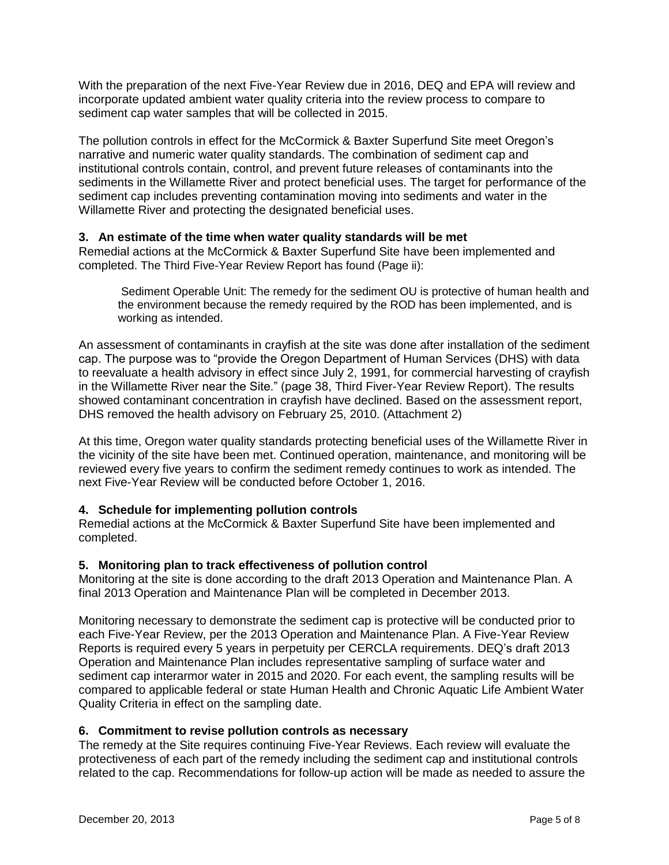With the preparation of the next Five-Year Review due in 2016, DEQ and EPA will review and incorporate updated ambient water quality criteria into the review process to compare to sediment cap water samples that will be collected in 2015.

The pollution controls in effect for the McCormick & Baxter Superfund Site meet Oregon's narrative and numeric water quality standards. The combination of sediment cap and institutional controls contain, control, and prevent future releases of contaminants into the sediments in the Willamette River and protect beneficial uses. The target for performance of the sediment cap includes preventing contamination moving into sediments and water in the Willamette River and protecting the designated beneficial uses.

#### **3. An estimate of the time when water quality standards will be met**

Remedial actions at the McCormick & Baxter Superfund Site have been implemented and completed. The Third Five-Year Review Report has found (Page ii):

Sediment Operable Unit: The remedy for the sediment OU is protective of human health and the environment because the remedy required by the ROD has been implemented, and is working as intended.

An assessment of contaminants in crayfish at the site was done after installation of the sediment cap. The purpose was to "provide the Oregon Department of Human Services (DHS) with data to reevaluate a health advisory in effect since July 2, 1991, for commercial harvesting of crayfish in the Willamette River near the Site." (page 38, Third Fiver-Year Review Report). The results showed contaminant concentration in crayfish have declined. Based on the assessment report, DHS removed the health advisory on February 25, 2010. (Attachment 2)

At this time, Oregon water quality standards protecting beneficial uses of the Willamette River in the vicinity of the site have been met. Continued operation, maintenance, and monitoring will be reviewed every five years to confirm the sediment remedy continues to work as intended. The next Five-Year Review will be conducted before October 1, 2016.

#### **4. Schedule for implementing pollution controls**

Remedial actions at the McCormick & Baxter Superfund Site have been implemented and completed.

#### **5. Monitoring plan to track effectiveness of pollution control**

Monitoring at the site is done according to the draft 2013 Operation and Maintenance Plan. A final 2013 Operation and Maintenance Plan will be completed in December 2013.

Monitoring necessary to demonstrate the sediment cap is protective will be conducted prior to each Five-Year Review, per the 2013 Operation and Maintenance Plan. A Five-Year Review Reports is required every 5 years in perpetuity per CERCLA requirements. DEQ's draft 2013 Operation and Maintenance Plan includes representative sampling of surface water and sediment cap interarmor water in 2015 and 2020. For each event, the sampling results will be compared to applicable federal or state Human Health and Chronic Aquatic Life Ambient Water Quality Criteria in effect on the sampling date.

#### **6. Commitment to revise pollution controls as necessary**

The remedy at the Site requires continuing Five-Year Reviews. Each review will evaluate the protectiveness of each part of the remedy including the sediment cap and institutional controls related to the cap. Recommendations for follow-up action will be made as needed to assure the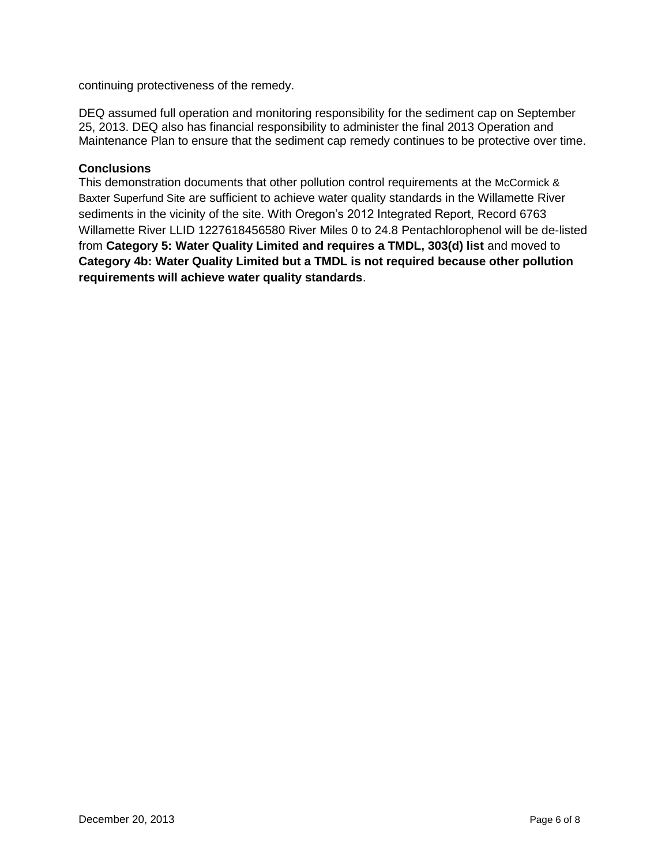continuing protectiveness of the remedy.

DEQ assumed full operation and monitoring responsibility for the sediment cap on September 25, 2013. DEQ also has financial responsibility to administer the final 2013 Operation and Maintenance Plan to ensure that the sediment cap remedy continues to be protective over time.

#### **Conclusions**

This demonstration documents that other pollution control requirements at the McCormick & Baxter Superfund Site are sufficient to achieve water quality standards in the Willamette River sediments in the vicinity of the site. With Oregon's 2012 Integrated Report, Record 6763 Willamette River LLID 1227618456580 River Miles 0 to 24.8 Pentachlorophenol will be de-listed from **Category 5: Water Quality Limited and requires a TMDL, 303(d) list** and moved to **Category 4b: Water Quality Limited but a TMDL is not required because other pollution requirements will achieve water quality standards**.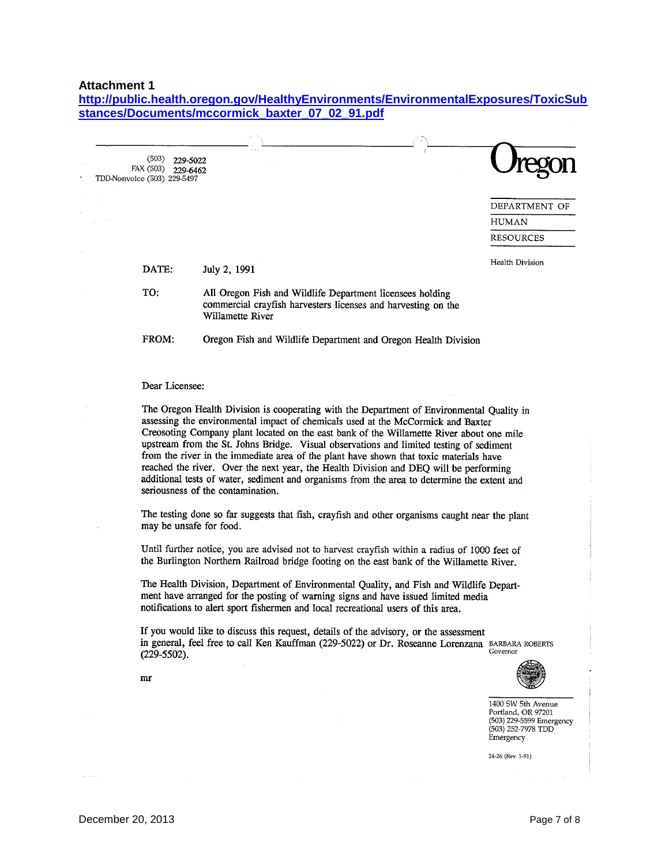#### **Attachment 1**

**[http://public.health.oregon.gov/HealthyEnvironments/EnvironmentalExposures/ToxicSub](http://public.health.oregon.gov/HealthyEnvironments/EnvironmentalExposures/ToxicSubstances/Documents/mccormick_baxter_07_02_91.pdf) [stances/Documents/mccormick\\_baxter\\_07\\_02\\_91.pdf](http://public.health.oregon.gov/HealthyEnvironments/EnvironmentalExposures/ToxicSubstances/Documents/mccormick_baxter_07_02_91.pdf)**

| (503)                       | 229-5022           |
|-----------------------------|--------------------|
|                             |                    |
|                             | FAX (503) 229-6462 |
| TDD-Nonvoice (503) 229-5497 |                    |

| <b><i><u>Jregon</u></i></b> |
|-----------------------------|
|                             |

DEPARTMENT OF **HUMAN RESOURCES** 

| <b>DATE:</b> | July 2, 1991                                                                                                                                   | Health Division |
|--------------|------------------------------------------------------------------------------------------------------------------------------------------------|-----------------|
| TO:          | All Oregon Fish and Wildlife Department licensees holding<br>commercial crayfish harvesters licenses and harvesting on the<br>Willamette River |                 |
| FROM:        | Oregon Fish and Wildlife Department and Oregon Health Division                                                                                 |                 |

#### Dear Licensee:

The Oregon Health Division is cooperating with the Department of Environmental Quality in assessing the environmental impact of chemicals used at the McCormick and Baxter Creosoting Company plant located on the east bank of the Willamette River about one mile upstream from the St. Johns Bridge. Visual observations and limited testing of sediment from the river in the immediate area of the plant have shown that toxic materials have reached the river. Over the next year, the Health Division and DEQ will be performing additional tests of water, sediment and organisms from the area to determine the extent and seriousness of the contamination.

The testing done so far suggests that fish, crayfish and other organisms caught near the plant may be unsafe for food.

Until further notice, you are advised not to harvest crayfish within a radius of 1000 feet of the Burlington Northern Railroad bridge footing on the east bank of the Willamette River.

The Health Division, Department of Environmental Quality, and Fish and Wildlife Department have arranged for the posting of warning signs and have issued limited media notifications to alert sport fishermen and local recreational users of this area.

If you would like to discuss this request, details of the advisory, or the assessment in general, feel free to call Ken Kauffman (229-5022) or Dr. Roseanne Lorenzana BARBARA ROBERTS Governor  $(229-5502)$ .



1400 SW 5th Avenue Portland, OR 97201 (503) 229-5599 Emergency (503) 252-7978 TDD Emergency

24-26 (Rev. 1-91)

 $mr$